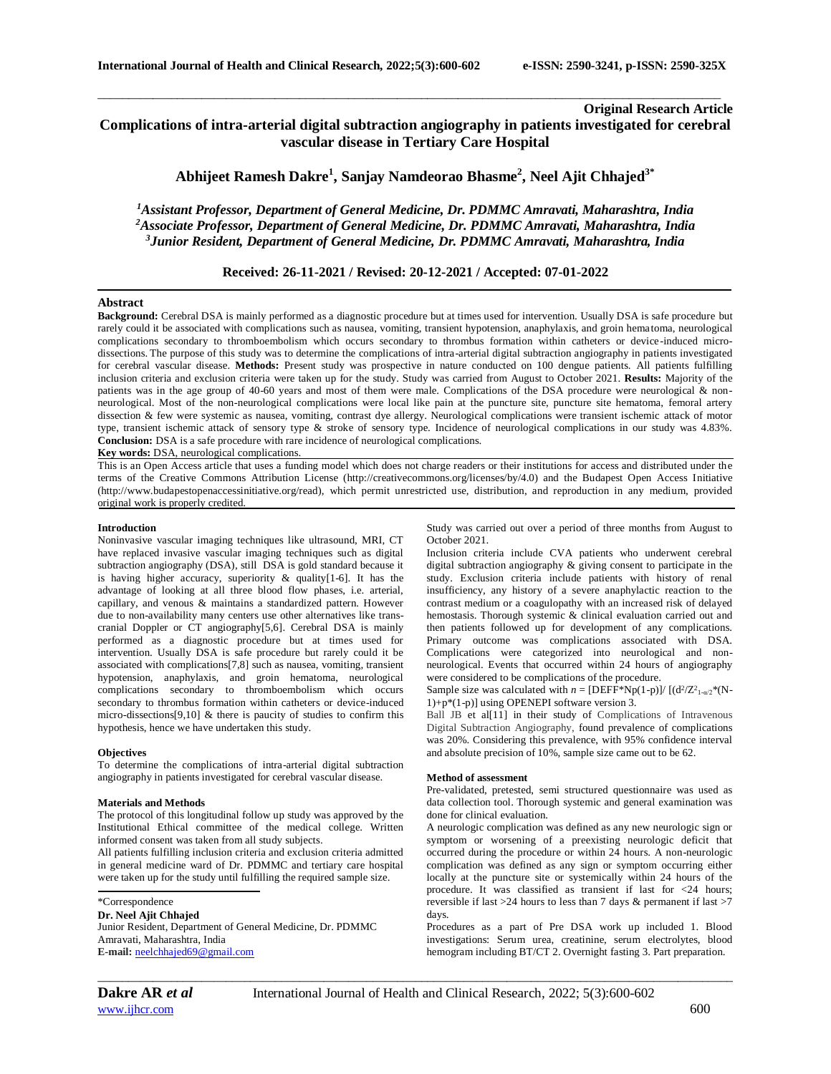## **Original Research Article**

# **Complications of intra-arterial digital subtraction angiography in patients investigated for cerebral vascular disease in Tertiary Care Hospital**

\_\_\_\_\_\_\_\_\_\_\_\_\_\_\_\_\_\_\_\_\_\_\_\_\_\_\_\_\_\_\_\_\_\_\_\_\_\_\_\_\_\_\_\_\_\_\_\_\_\_\_\_\_\_\_\_\_\_\_\_\_\_\_\_\_\_\_\_\_\_\_\_\_\_\_\_\_\_\_\_\_\_\_\_\_\_\_\_\_\_\_\_\_\_\_\_\_\_\_\_\_\_

**Abhijeet Ramesh Dakre<sup>1</sup> , Sanjay Namdeorao Bhasme<sup>2</sup> , Neel Ajit Chhajed3\***

*<sup>1</sup>Assistant Professor, Department of General Medicine, Dr. PDMMC Amravati, Maharashtra, India <sup>2</sup>Associate Professor, Department of General Medicine, Dr. PDMMC Amravati, Maharashtra, India <sup>3</sup>Junior Resident, Department of General Medicine, Dr. PDMMC Amravati, Maharashtra, India*

### **Received: 26-11-2021 / Revised: 20-12-2021 / Accepted: 07-01-2022**

#### **Abstract**

**Background:** Cerebral DSA is mainly performed as a diagnostic procedure but at times used for intervention. Usually DSA is safe procedure but rarely could it be associated with complications such as nausea, vomiting, transient hypotension, anaphylaxis, and groin hematoma, neurological complications secondary to thromboembolism which occurs secondary to thrombus formation within catheters or device-induced microdissections. The purpose of this study was to determine the complications of intra-arterial digital subtraction angiography in patients investigated for cerebral vascular disease. **Methods:** Present study was prospective in nature conducted on 100 dengue patients. All patients fulfilling inclusion criteria and exclusion criteria were taken up for the study. Study was carried from August to October 2021. **Results:** Majority of the patients was in the age group of 40-60 years and most of them were male. Complications of the DSA procedure were neurological & nonneurological. Most of the non-neurological complications were local like pain at the puncture site, puncture site hematoma, femoral artery dissection & few were systemic as nausea, vomiting, contrast dye allergy. Neurological complications were transient ischemic attack of motor type, transient ischemic attack of sensory type & stroke of sensory type. Incidence of neurological complications in our study was 4.83%. **Conclusion:** DSA is a safe procedure with rare incidence of neurological complications.

**Key words:** DSA, neurological complications.

This is an Open Access article that uses a funding model which does not charge readers or their institutions for access and distributed under the terms of the Creative Commons Attribution License (http://creativecommons.org/licenses/by/4.0) and the Budapest Open Access Initiative (http://www.budapestopenaccessinitiative.org/read), which permit unrestricted use, distribution, and reproduction in any medium, provided original work is properly credited.

#### **Introduction**

Noninvasive vascular imaging techniques like ultrasound, MRI, CT have replaced invasive vascular imaging techniques such as digital subtraction angiography (DSA), still DSA is gold standard because it is having higher accuracy, superiority & quality[1-6]. It has the advantage of looking at all three blood flow phases, i.e. arterial, capillary, and venous & maintains a standardized pattern. However due to non-availability many centers use other alternatives like transcranial Doppler or CT angiography[5,6]. Cerebral DSA is mainly performed as a diagnostic procedure but at times used for intervention. Usually DSA is safe procedure but rarely could it be associated with complications[7,8] such as nausea, vomiting, transient hypotension, anaphylaxis, and groin hematoma, neurological complications secondary to thromboembolism which occurs secondary to thrombus formation within catheters or device-induced micro-dissections[9,10] & there is paucity of studies to confirm this hypothesis, hence we have undertaken this study.

#### **Objectives**

To determine the complications of intra-arterial digital subtraction angiography in patients investigated for cerebral vascular disease.

#### **Materials and Methods**

The protocol of this longitudinal follow up study was approved by the Institutional Ethical committee of the medical college. Written informed consent was taken from all study subjects.

All patients fulfilling inclusion criteria and exclusion criteria admitted in general medicine ward of Dr. PDMMC and tertiary care hospital were taken up for the study until fulfilling the required sample size.

\*Correspondence

**Dr. Neel Ajit Chhajed** Junior Resident, Department of General Medicine, Dr. PDMMC Amravati, Maharashtra, India **E-mail:** [neelchhajed69@gmail.com](mailto:neelchhajed69@gmail.com)

Study was carried out over a period of three months from August to October 2021.

Inclusion criteria include CVA patients who underwent cerebral digital subtraction angiography & giving consent to participate in the study. Exclusion criteria include patients with history of renal insufficiency, any history of a severe anaphylactic reaction to the contrast medium or a coagulopathy with an increased risk of delayed hemostasis. Thorough systemic & clinical evaluation carried out and then patients followed up for development of any complications. Primary outcome was complications associated with DSA. Complications were categorized into neurological and nonneurological. Events that occurred within 24 hours of angiography were considered to be complications of the procedure.

Sample size was calculated with  $n = [DEF*Np(1-p)]/[(d^2/Z^2_{1-\alpha/2}*(N-p)]$ 1)+p\*(1-p)] using OPENEPI software version 3.

Ball JB et al[11] in their study of Complications of Intravenous Digital Subtraction Angiography, found prevalence of complications was 20%. Considering this prevalence, with 95% confidence interval and absolute precision of 10%, sample size came out to be 62.

#### **Method of assessment**

Pre-validated, pretested, semi structured questionnaire was used as data collection tool. Thorough systemic and general examination was done for clinical evaluation.

A neurologic complication was defined as any new neurologic sign or symptom or worsening of a preexisting neurologic deficit that occurred during the procedure or within 24 hours. A non-neurologic complication was defined as any sign or symptom occurring either locally at the puncture site or systemically within 24 hours of the procedure. It was classified as transient if last for <24 hours; reversible if last  $>$  24 hours to less than 7 days & permanent if last  $>$ 7 days.

Procedures as a part of Pre DSA work up included 1. Blood investigations: Serum urea, creatinine, serum electrolytes, blood hemogram including BT/CT 2. Overnight fasting 3. Part preparation.

*\_\_\_\_\_\_\_\_\_\_\_\_\_\_\_\_\_\_\_\_\_\_\_\_\_\_\_\_\_\_\_\_\_\_\_\_\_\_\_\_\_\_\_\_\_\_\_\_\_\_\_\_\_\_\_\_\_\_\_\_\_\_\_\_\_\_\_\_\_\_\_\_\_\_\_\_\_\_\_\_\_\_\_\_\_\_\_\_\_\_\_\_\_\_\_\_\_\_\_\_\_\_\_\_*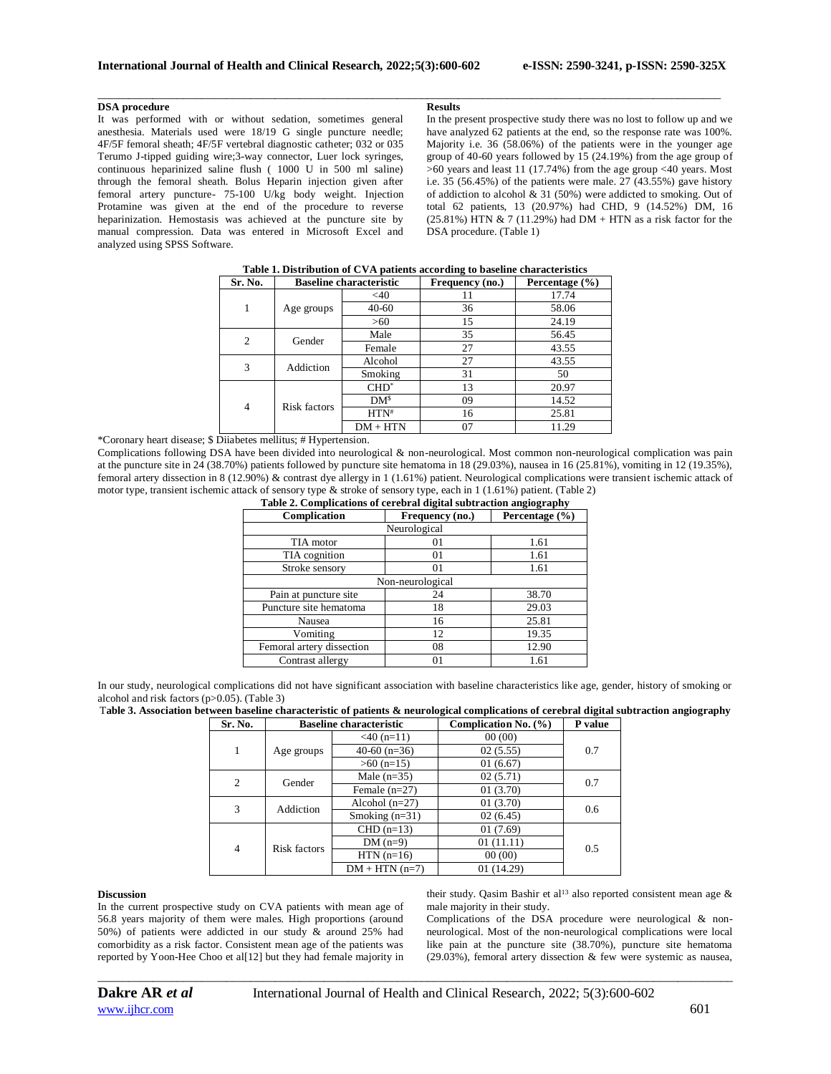#### **DSA procedure**

It was performed with or without sedation, sometimes general anesthesia. Materials used were 18/19 G single puncture needle; 4F/5F femoral sheath; 4F/5F vertebral diagnostic catheter; 032 or 035 Terumo J-tipped guiding wire;3-way connector, Luer lock syringes, continuous heparinized saline flush ( 1000 U in 500 ml saline) through the femoral sheath. Bolus Heparin injection given after femoral artery puncture- 75-100 U/kg body weight. Injection Protamine was given at the end of the procedure to reverse heparinization. Hemostasis was achieved at the puncture site by manual compression. Data was entered in Microsoft Excel and analyzed using SPSS Software.

#### **Results**

\_\_\_\_\_\_\_\_\_\_\_\_\_\_\_\_\_\_\_\_\_\_\_\_\_\_\_\_\_\_\_\_\_\_\_\_\_\_\_\_\_\_\_\_\_\_\_\_\_\_\_\_\_\_\_\_\_\_\_\_\_\_\_\_\_\_\_\_\_\_\_\_\_\_\_\_\_\_\_\_\_\_\_\_\_\_\_\_\_\_\_\_\_\_\_\_\_\_\_\_\_\_

In the present prospective study there was no lost to follow up and we have analyzed 62 patients at the end, so the response rate was 100%. Majority i.e. 36 (58.06%) of the patients were in the younger age group of 40-60 years followed by 15 (24.19%) from the age group of >60 years and least 11 (17.74%) from the age group <40 years. Most i.e. 35 (56.45%) of the patients were male. 27 (43.55%) gave history of addiction to alcohol & 31 (50%) were addicted to smoking. Out of total 62 patients, 13 (20.97%) had CHD, 9 (14.52%) DM, 16  $(25.81\%)$  HTN & 7 (11.29%) had DM + HTN as a risk factor for the DSA procedure. (Table 1)

|                |                                |                 | $\tilde{\phantom{a}}$ |                    |
|----------------|--------------------------------|-----------------|-----------------------|--------------------|
| Sr. No.        | <b>Baseline characteristic</b> |                 | Frequency (no.)       | Percentage $(\% )$ |
| 1              | Age groups                     | $<$ 40          |                       | 17.74              |
|                |                                | 40-60           | 36                    | 58.06              |
|                |                                | >60             | 15                    | 24.19              |
| $\overline{c}$ | Gender                         | Male            | 35                    | 56.45              |
|                |                                | Female          | 27                    | 43.55              |
| 3              | Addiction                      | Alcohol         | 27                    | 43.55              |
|                |                                | Smoking         | 31                    | 50                 |
| $\overline{4}$ | Risk factors                   | $CHD^*$         | 13                    | 20.97              |
|                |                                | DM <sup>s</sup> | 09                    | 14.52              |
|                |                                | $HTN^*$         | 16                    | 25.81              |
|                |                                | $DM + HTN$      | 07                    | 11.29              |

# **Table 1. Distribution of CVA patients according to baseline characteristics**

\*Coronary heart disease; \$ Diiabetes mellitus; # Hypertension.

Complications following DSA have been divided into neurological & non-neurological. Most common non-neurological complication was pain at the puncture site in 24 (38.70%) patients followed by puncture site hematoma in 18 (29.03%), nausea in 16 (25.81%), vomiting in 12 (19.35%), femoral artery dissection in 8 (12.90%) & contrast dye allergy in 1 (1.61%) patient. Neurological complications were transient ischemic attack of motor type, transient ischemic attack of sensory type & stroke of sensory type, each in 1 (1.61%) patient. (Table 2)<br>
Table 2. Complications of carebral digital subtraction angiography

| Table 2. Complications of cerebral digital subtraction angiography |                 |                    |  |  |  |  |  |
|--------------------------------------------------------------------|-----------------|--------------------|--|--|--|--|--|
| Complication                                                       | Frequency (no.) | Percentage $(\% )$ |  |  |  |  |  |
| Neurological                                                       |                 |                    |  |  |  |  |  |
| TIA motor                                                          | 01              | 1.61               |  |  |  |  |  |
| TIA cognition                                                      | 01              | 1.61               |  |  |  |  |  |
| Stroke sensory                                                     | 01              | 1.61               |  |  |  |  |  |
| Non-neurological                                                   |                 |                    |  |  |  |  |  |
| Pain at puncture site                                              | 24              | 38.70              |  |  |  |  |  |
| Puncture site hematoma                                             | 18              | 29.03              |  |  |  |  |  |
| Nausea                                                             | 16              | 25.81              |  |  |  |  |  |
| Vomiting                                                           | 12              | 19.35              |  |  |  |  |  |
| Femoral artery dissection                                          | 08              | 12.90              |  |  |  |  |  |
| Contrast allergy                                                   | 01              | 1.61               |  |  |  |  |  |

In our study, neurological complications did not have significant association with baseline characteristics like age, gender, history of smoking or alcohol and risk factors (p>0.05). (Table 3)

T**able 3. Association between baseline characteristic of patients & neurological complications of cerebral digital subtraction angiography Sr. No. Baseline characteristic Complication No. (%) P value**

| 51. IVO.       |              | Daseline chai acteristic | COMPRETE NO. (70) | r value |  |
|----------------|--------------|--------------------------|-------------------|---------|--|
| 1              | Age groups   | $<$ 40 (n=11)            | 00(00)            |         |  |
|                |              | $40-60$ (n=36)           | 02(5.55)          | 0.7     |  |
|                |              | $>60$ (n=15)             | 01(6.67)          |         |  |
| $\overline{2}$ | Gender       | Male $(n=35)$            | 02(5.71)          | 0.7     |  |
|                |              | Female $(n=27)$          | 01(3.70)          |         |  |
| 3              | Addiction    | Alcohol $(n=27)$         | 01(3.70)          | 0.6     |  |
|                |              | Smoking $(n=31)$         | 02(6.45)          |         |  |
| 4              | Risk factors | $CHD (n=13)$             | 01(7.69)          |         |  |
|                |              | $DM(n=9)$                | 01(11.11)         | 0.5     |  |
|                |              | $HTN(n=16)$              | 00(00)            |         |  |
|                |              | $DM + HTN (n=7)$         | 01 (14.29)        |         |  |

*\_\_\_\_\_\_\_\_\_\_\_\_\_\_\_\_\_\_\_\_\_\_\_\_\_\_\_\_\_\_\_\_\_\_\_\_\_\_\_\_\_\_\_\_\_\_\_\_\_\_\_\_\_\_\_\_\_\_\_\_\_\_\_\_\_\_\_\_\_\_\_\_\_\_\_\_\_\_\_\_\_\_\_\_\_\_\_\_\_\_\_\_\_\_\_\_\_\_\_\_\_\_\_\_*

#### **Discussion**

In the current prospective study on CVA patients with mean age of 56.8 years majority of them were males. High proportions (around 50%) of patients were addicted in our study & around 25% had comorbidity as a risk factor. Consistent mean age of the patients was reported by Yoon-Hee Choo et al[12] but they had female majority in their study. Qasim Bashir et al<sup>13</sup> also reported consistent mean age  $\&$ male majority in their study.

Complications of the DSA procedure were neurological & nonneurological. Most of the non-neurological complications were local like pain at the puncture site (38.70%), puncture site hematoma (29.03%), femoral artery dissection & few were systemic as nausea,